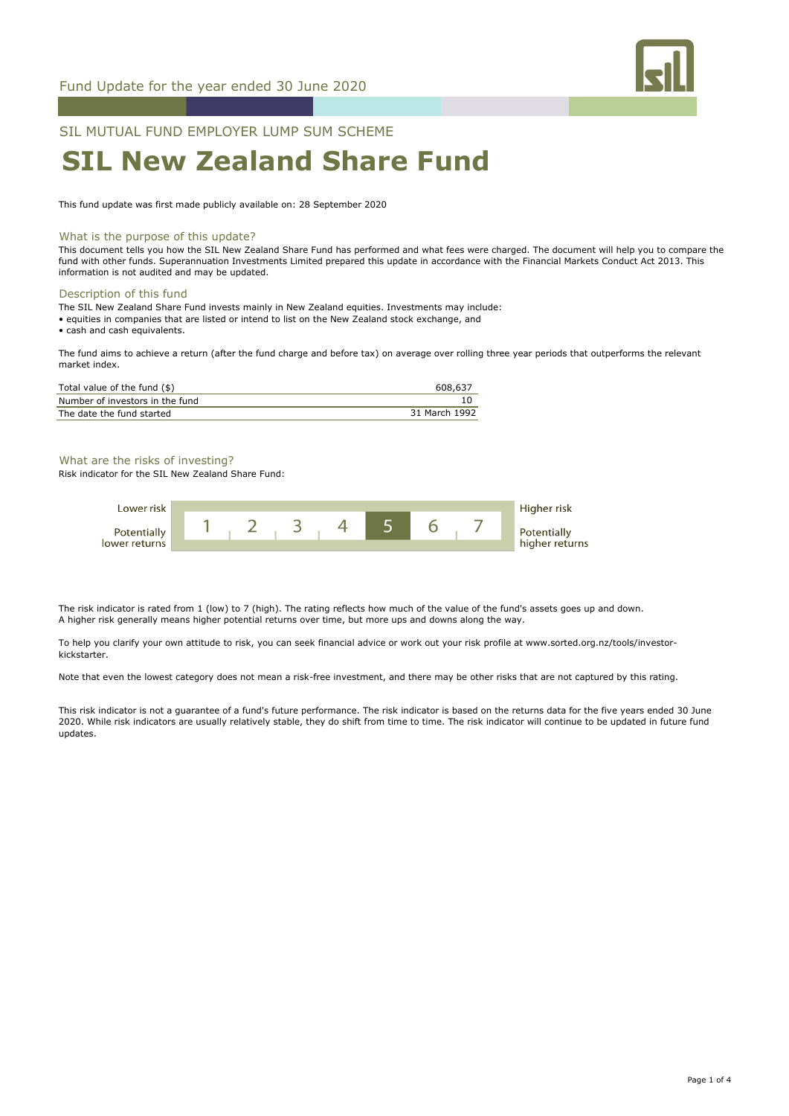

## SIL MUTUAL FUND EMPLOYER LUMP SUM SCHEME

# **SIL New Zealand Share Fund**

This fund update was first made publicly available on: 28 September 2020

### What is the purpose of this update?

This document tells you how the SIL New Zealand Share Fund has performed and what fees were charged. The document will help you to compare the fund with other funds. Superannuation Investments Limited prepared this update in accordance with the Financial Markets Conduct Act 2013. This information is not audited and may be updated.

#### Description of this fund

The SIL New Zealand Share Fund invests mainly in New Zealand equities. Investments may include:

- equities in companies that are listed or intend to list on the New Zealand stock exchange, and
- cash and cash equivalents.

The fund aims to achieve a return (after the fund charge and before tax) on average over rolling three year periods that outperforms the relevant market index.

| Total value of the fund (\$)    | 608,637       |
|---------------------------------|---------------|
| Number of investors in the fund |               |
| The date the fund started       | 31 March 1992 |

### What are the risks of investing?

Risk indicator for the SIL New Zealand Share Fund:



The risk indicator is rated from 1 (low) to 7 (high). The rating reflects how much of the value of the fund's assets goes up and down. A higher risk generally means higher potential returns over time, but more ups and downs along the way.

To help you clarify your own attitude to risk, you can seek financial advice or work out your risk profile at www.sorted.org.nz/tools/investorkickstarter.

Note that even the lowest category does not mean a risk-free investment, and there may be other risks that are not captured by this rating.

This risk indicator is not a guarantee of a fund's future performance. The risk indicator is based on the returns data for the five years ended 30 June 2020. While risk indicators are usually relatively stable, they do shift from time to time. The risk indicator will continue to be updated in future fund updates.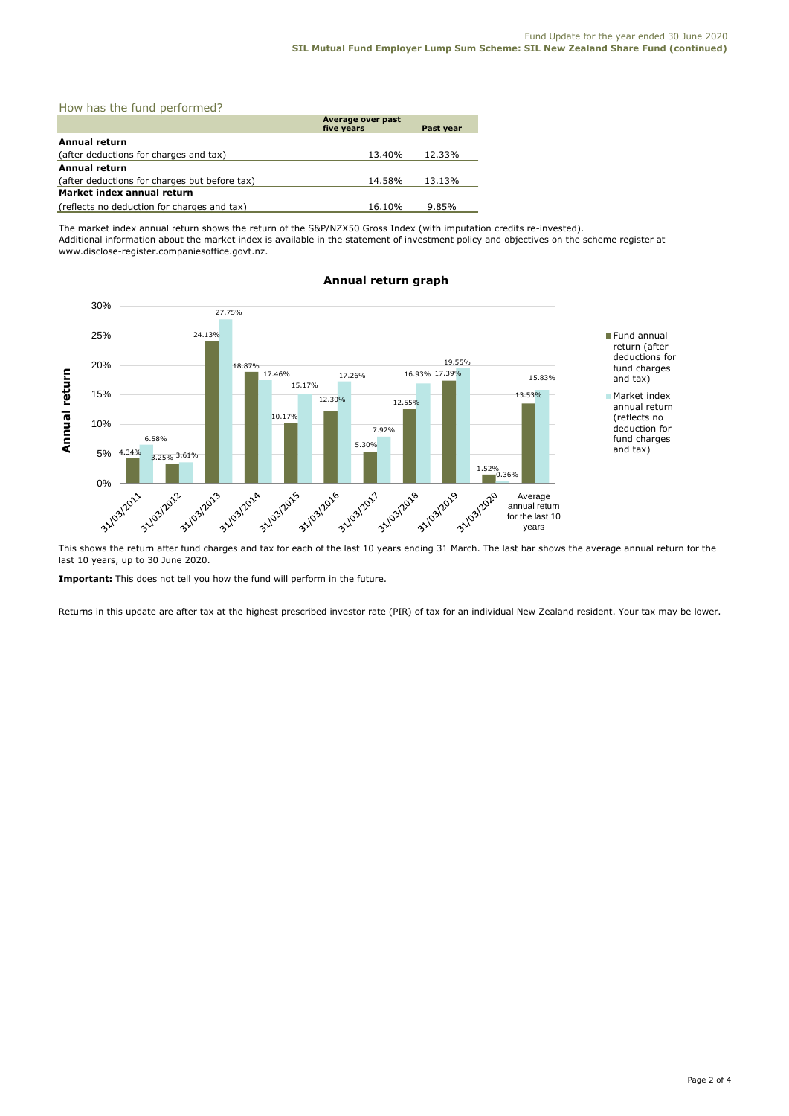| How has the fund performed? |  |
|-----------------------------|--|
|-----------------------------|--|

|                                               | Average over past<br>five years | Past vear |  |  |  |
|-----------------------------------------------|---------------------------------|-----------|--|--|--|
| <b>Annual return</b>                          |                                 |           |  |  |  |
| (after deductions for charges and tax)        | 13.40%                          | 12.33%    |  |  |  |
| Annual return                                 |                                 |           |  |  |  |
| (after deductions for charges but before tax) | 14.58%                          | 13.13%    |  |  |  |
| Market index annual return                    |                                 |           |  |  |  |
| (reflects no deduction for charges and tax)   | 16.10%                          | 9.85%     |  |  |  |

The market index annual return shows the return of the S&P/NZX50 Gross Index (with imputation credits re-invested). Additional information about the market index is available in the statement of investment policy and objectives on the scheme register at www.disclose-register.companiesoffice.govt.nz.



## **Annual return graph**

This shows the return after fund charges and tax for each of the last 10 years ending 31 March. The last bar shows the average annual return for the last 10 years, up to 30 June 2020.

**Important:** This does not tell you how the fund will perform in the future.

Returns in this update are after tax at the highest prescribed investor rate (PIR) of tax for an individual New Zealand resident. Your tax may be lower.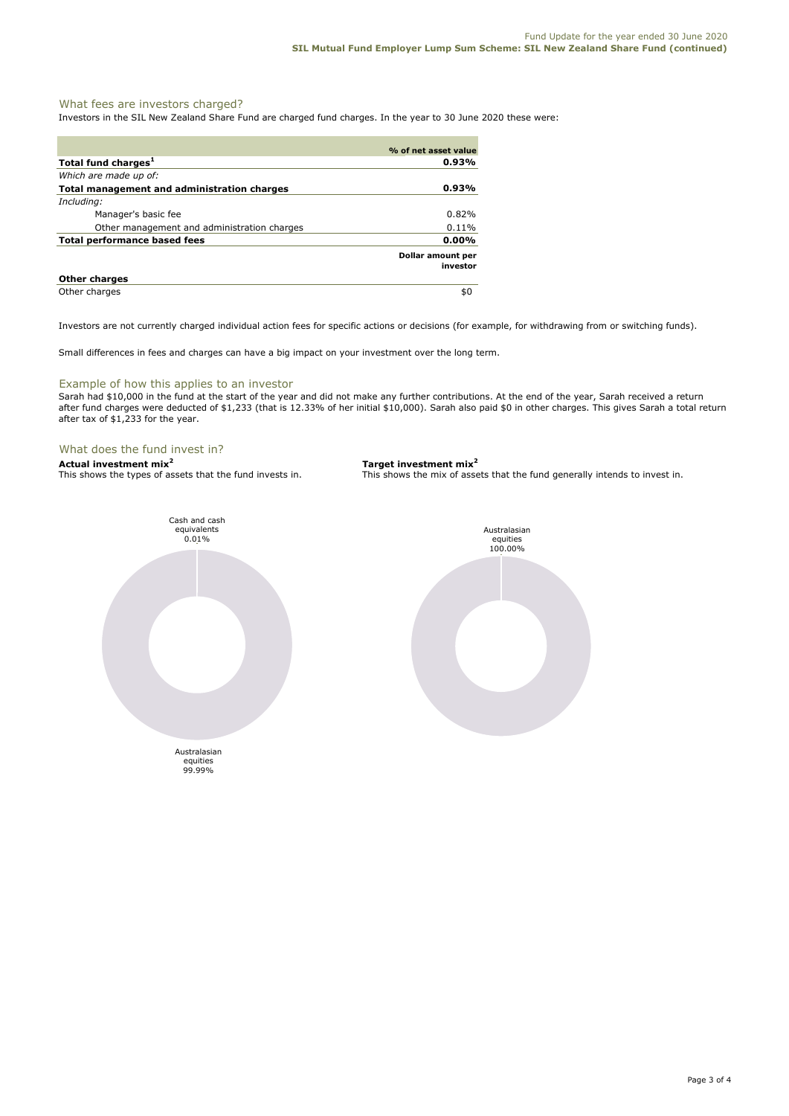### What fees are investors charged?

Investors in the SIL New Zealand Share Fund are charged fund charges. In the year to 30 June 2020 these were:

|                                             | % of net asset value          |
|---------------------------------------------|-------------------------------|
| Total fund charges <sup>1</sup>             | 0.93%                         |
| Which are made up of:                       |                               |
| Total management and administration charges | 0.93%                         |
| Including:                                  |                               |
| Manager's basic fee                         | 0.82%                         |
| Other management and administration charges | 0.11%                         |
| Total performance based fees                | $0.00\%$                      |
|                                             | Dollar amount per<br>investor |
| <b>Other charges</b>                        |                               |
| Other charges                               | \$0                           |

Investors are not currently charged individual action fees for specific actions or decisions (for example, for withdrawing from or switching funds).

Small differences in fees and charges can have a big impact on your investment over the long term.

#### Example of how this applies to an investor

Sarah had \$10,000 in the fund at the start of the year and did not make any further contributions. At the end of the year, Sarah received a return after fund charges were deducted of \$1,233 (that is 12.33% of her initial \$10,000). Sarah also paid \$0 in other charges. This gives Sarah a total return after tax of \$1,233 for the year.

#### What does the fund invest in?

**Actual investment mix<sup>2</sup> <b>Target investment mix**<sup>2</sup> **This shows the types of assets that the fund invests in.** This shows the mix of assets





This shows the mix of assets that the fund generally intends to invest in.